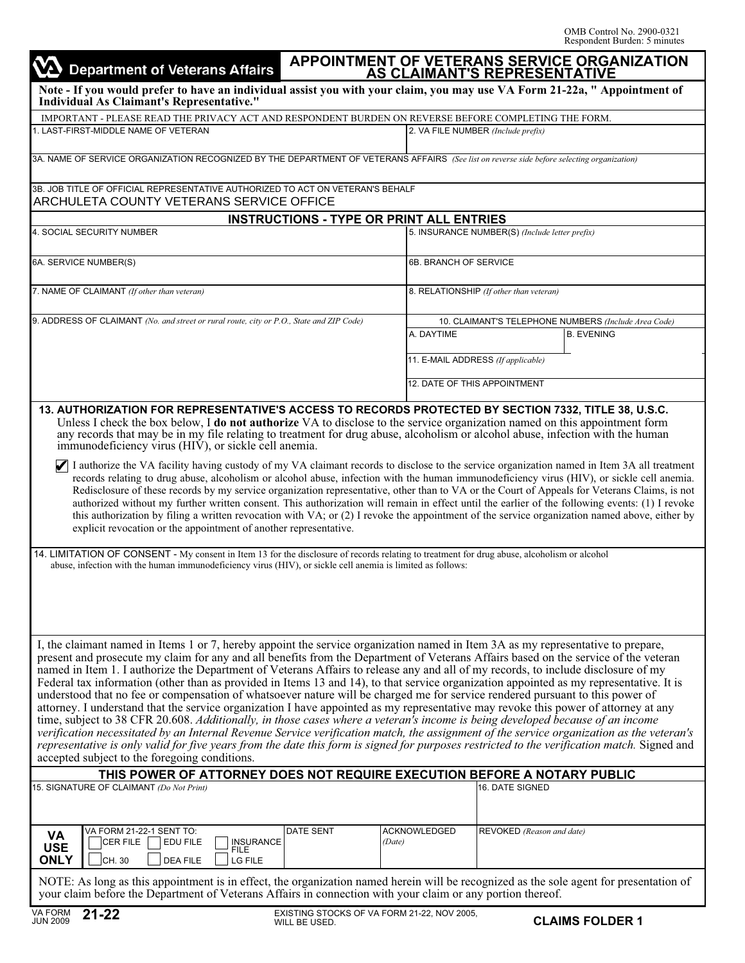| <b>Department of Veterans Affairs</b>                                                                                                                                                                                                                                                                                                                                                                                                                                                                                                                                                                                                                                                                                                                                                                                                                                                                                                                                                                                                                                                                                                                                                                                                                                                                                                                                                    |                                                 |                     |                                                                           | APPOINTMENT OF VETERANS SERVICE ORGANIZATION<br>AS CLAIMANT'S REPRESENTATIVE |
|------------------------------------------------------------------------------------------------------------------------------------------------------------------------------------------------------------------------------------------------------------------------------------------------------------------------------------------------------------------------------------------------------------------------------------------------------------------------------------------------------------------------------------------------------------------------------------------------------------------------------------------------------------------------------------------------------------------------------------------------------------------------------------------------------------------------------------------------------------------------------------------------------------------------------------------------------------------------------------------------------------------------------------------------------------------------------------------------------------------------------------------------------------------------------------------------------------------------------------------------------------------------------------------------------------------------------------------------------------------------------------------|-------------------------------------------------|---------------------|---------------------------------------------------------------------------|------------------------------------------------------------------------------|
| Note - If you would prefer to have an individual assist you with your claim, you may use VA Form 21-22a, "Appointment of<br>Individual As Claimant's Representative."                                                                                                                                                                                                                                                                                                                                                                                                                                                                                                                                                                                                                                                                                                                                                                                                                                                                                                                                                                                                                                                                                                                                                                                                                    |                                                 |                     |                                                                           |                                                                              |
| IMPORTANT - PLEASE READ THE PRIVACY ACT AND RESPONDENT BURDEN ON REVERSE BEFORE COMPLETING THE FORM.                                                                                                                                                                                                                                                                                                                                                                                                                                                                                                                                                                                                                                                                                                                                                                                                                                                                                                                                                                                                                                                                                                                                                                                                                                                                                     |                                                 |                     |                                                                           |                                                                              |
| 1. LAST-FIRST-MIDDLE NAME OF VETERAN                                                                                                                                                                                                                                                                                                                                                                                                                                                                                                                                                                                                                                                                                                                                                                                                                                                                                                                                                                                                                                                                                                                                                                                                                                                                                                                                                     |                                                 |                     | 2. VA FILE NUMBER (Include prefix)                                        |                                                                              |
| 3A. NAME OF SERVICE ORGANIZATION RECOGNIZED BY THE DEPARTMENT OF VETERANS AFFAIRS (See list on reverse side before selecting organization)                                                                                                                                                                                                                                                                                                                                                                                                                                                                                                                                                                                                                                                                                                                                                                                                                                                                                                                                                                                                                                                                                                                                                                                                                                               |                                                 |                     |                                                                           |                                                                              |
| 3B. JOB TITLE OF OFFICIAL REPRESENTATIVE AUTHORIZED TO ACT ON VETERAN'S BEHALF<br><b>ARCHULETA COUNTY VETERANS SERVICE OFFICE</b>                                                                                                                                                                                                                                                                                                                                                                                                                                                                                                                                                                                                                                                                                                                                                                                                                                                                                                                                                                                                                                                                                                                                                                                                                                                        |                                                 |                     |                                                                           |                                                                              |
|                                                                                                                                                                                                                                                                                                                                                                                                                                                                                                                                                                                                                                                                                                                                                                                                                                                                                                                                                                                                                                                                                                                                                                                                                                                                                                                                                                                          | <b>INSTRUCTIONS - TYPE OR PRINT ALL ENTRIES</b> |                     |                                                                           |                                                                              |
| 4. SOCIAL SECURITY NUMBER                                                                                                                                                                                                                                                                                                                                                                                                                                                                                                                                                                                                                                                                                                                                                                                                                                                                                                                                                                                                                                                                                                                                                                                                                                                                                                                                                                |                                                 |                     | 5. INSURANCE NUMBER(S) (Include letter prefix)                            |                                                                              |
|                                                                                                                                                                                                                                                                                                                                                                                                                                                                                                                                                                                                                                                                                                                                                                                                                                                                                                                                                                                                                                                                                                                                                                                                                                                                                                                                                                                          |                                                 |                     |                                                                           |                                                                              |
| 6A. SERVICE NUMBER(S)                                                                                                                                                                                                                                                                                                                                                                                                                                                                                                                                                                                                                                                                                                                                                                                                                                                                                                                                                                                                                                                                                                                                                                                                                                                                                                                                                                    |                                                 |                     | 6B. BRANCH OF SERVICE                                                     |                                                                              |
| 7. NAME OF CLAIMANT (If other than veteran)                                                                                                                                                                                                                                                                                                                                                                                                                                                                                                                                                                                                                                                                                                                                                                                                                                                                                                                                                                                                                                                                                                                                                                                                                                                                                                                                              |                                                 |                     | 8. RELATIONSHIP (If other than veteran)                                   |                                                                              |
| 9. ADDRESS OF CLAIMANT (No. and street or rural route, city or P.O., State and ZIP Code)                                                                                                                                                                                                                                                                                                                                                                                                                                                                                                                                                                                                                                                                                                                                                                                                                                                                                                                                                                                                                                                                                                                                                                                                                                                                                                 |                                                 |                     |                                                                           |                                                                              |
|                                                                                                                                                                                                                                                                                                                                                                                                                                                                                                                                                                                                                                                                                                                                                                                                                                                                                                                                                                                                                                                                                                                                                                                                                                                                                                                                                                                          |                                                 | A. DAYTIME          | 10. CLAIMANT'S TELEPHONE NUMBERS (Include Area Code)<br><b>B. EVENING</b> |                                                                              |
|                                                                                                                                                                                                                                                                                                                                                                                                                                                                                                                                                                                                                                                                                                                                                                                                                                                                                                                                                                                                                                                                                                                                                                                                                                                                                                                                                                                          |                                                 |                     |                                                                           |                                                                              |
|                                                                                                                                                                                                                                                                                                                                                                                                                                                                                                                                                                                                                                                                                                                                                                                                                                                                                                                                                                                                                                                                                                                                                                                                                                                                                                                                                                                          |                                                 |                     | 11. E-MAIL ADDRESS (If applicable)                                        |                                                                              |
|                                                                                                                                                                                                                                                                                                                                                                                                                                                                                                                                                                                                                                                                                                                                                                                                                                                                                                                                                                                                                                                                                                                                                                                                                                                                                                                                                                                          |                                                 |                     | 12. DATE OF THIS APPOINTMENT                                              |                                                                              |
| Redisclosure of these records by my service organization representative, other than to VA or the Court of Appeals for Veterans Claims, is not<br>authorized without my further written consent. This authorization will remain in effect until the earlier of the following events: (1) I revoke<br>this authorization by filing a written revocation with VA; or (2) I revoke the appointment of the service organization named above, either by<br>explicit revocation or the appointment of another representative.<br>14. LIMITATION OF CONSENT - My consent in Item 13 for the disclosure of records relating to treatment for drug abuse, alcoholism or alcohol<br>abuse, infection with the human immunodeficiency virus (HIV), or sickle cell anemia is limited as follows:                                                                                                                                                                                                                                                                                                                                                                                                                                                                                                                                                                                                      |                                                 |                     |                                                                           |                                                                              |
| I, the claimant named in Items 1 or 7, hereby appoint the service organization named in Item 3A as my representative to prepare,<br>present and prosecute my claim for any and all benefits from the Department of Veterans Affairs based on the service of the veteran<br>named in Item 1. I authorize the Department of Veterans Affairs to release any and all of my records, to include disclosure of my<br>Federal tax information (other than as provided in Items 13 and 14), to that service organization appointed as my representative. It is<br>understood that no fee or compensation of whatsoever nature will be charged me for service rendered pursuant to this power of<br>attorney. I understand that the service organization I have appointed as my representative may revoke this power of attorney at any<br>time, subject to 38 CFR 20.608. Additionally, in those cases where a veteran's income is being developed because of an income<br>verification necessitated by an Internal Revenue Service verification match, the assignment of the service organization as the veteran's<br>representative is only valid for five years from the date this form is signed for purposes restricted to the verification match. Signed and<br>accepted subject to the foregoing conditions.<br>THIS POWER OF ATTORNEY DOES NOT REQUIRE EXECUTION BEFORE A NOTARY PUBLIC |                                                 |                     |                                                                           |                                                                              |
| 15. SIGNATURE OF CLAIMANT (Do Not Print)                                                                                                                                                                                                                                                                                                                                                                                                                                                                                                                                                                                                                                                                                                                                                                                                                                                                                                                                                                                                                                                                                                                                                                                                                                                                                                                                                 |                                                 | 16. DATE SIGNED     |                                                                           |                                                                              |
|                                                                                                                                                                                                                                                                                                                                                                                                                                                                                                                                                                                                                                                                                                                                                                                                                                                                                                                                                                                                                                                                                                                                                                                                                                                                                                                                                                                          |                                                 |                     |                                                                           |                                                                              |
| VA FORM 21-22-1 SENT TO:<br>VA                                                                                                                                                                                                                                                                                                                                                                                                                                                                                                                                                                                                                                                                                                                                                                                                                                                                                                                                                                                                                                                                                                                                                                                                                                                                                                                                                           | <b>DATE SENT</b>                                | <b>ACKNOWLEDGED</b> | REVOKED (Reason and date)                                                 |                                                                              |
| CER FILE<br>EDU FILE<br>INSURANCE<br>FILE<br><b>USE</b><br><b>ONLY</b><br>CH. 30<br><b>DEA FILE</b><br>LG FILE                                                                                                                                                                                                                                                                                                                                                                                                                                                                                                                                                                                                                                                                                                                                                                                                                                                                                                                                                                                                                                                                                                                                                                                                                                                                           |                                                 | (Date)              |                                                                           |                                                                              |
| NOTE: As long as this appointment is in effect, the organization named herein will be recognized as the sole agent for presentation of                                                                                                                                                                                                                                                                                                                                                                                                                                                                                                                                                                                                                                                                                                                                                                                                                                                                                                                                                                                                                                                                                                                                                                                                                                                   |                                                 |                     |                                                                           |                                                                              |
| your claim before the Department of Veterans Affairs in connection with your claim or any portion thereof.                                                                                                                                                                                                                                                                                                                                                                                                                                                                                                                                                                                                                                                                                                                                                                                                                                                                                                                                                                                                                                                                                                                                                                                                                                                                               |                                                 |                     |                                                                           |                                                                              |